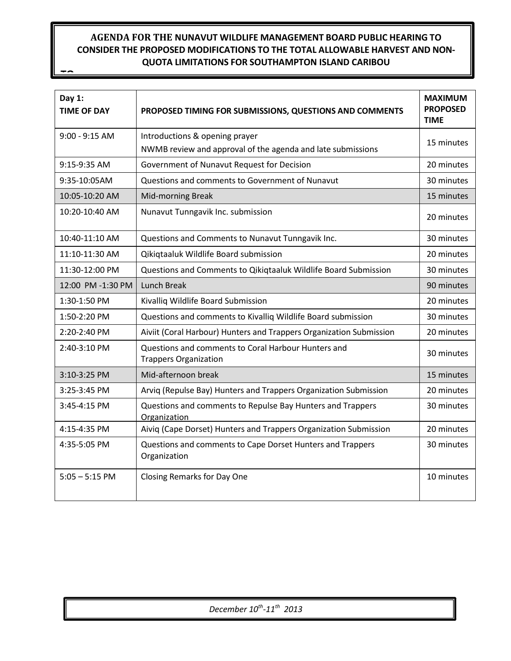# **AGENDA FOR THE NUNAVUT WILDLIFE MANAGEMENT BOARD PUBLIC HEARING TO CONSIDER THE PROPOSED MODIFICATIONS TO THE TOTAL ALLOWABLE HARVEST AND NON-QUOTA LIMITATIONS FOR SOUTHAMPTON ISLAND CARIBOU**

**TO**

| Day $1:$<br><b>TIME OF DAY</b> | PROPOSED TIMING FOR SUBMISSIONS, QUESTIONS AND COMMENTS                                       | <b>MAXIMUM</b><br><b>PROPOSED</b><br><b>TIME</b> |
|--------------------------------|-----------------------------------------------------------------------------------------------|--------------------------------------------------|
| $9:00 - 9:15$ AM               | Introductions & opening prayer<br>NWMB review and approval of the agenda and late submissions | 15 minutes                                       |
| 9:15-9:35 AM                   | Government of Nunavut Request for Decision                                                    | 20 minutes                                       |
| 9:35-10:05AM                   | Questions and comments to Government of Nunavut                                               | 30 minutes                                       |
| 10:05-10:20 AM                 | Mid-morning Break                                                                             | 15 minutes                                       |
| 10:20-10:40 AM                 | Nunavut Tunngavik Inc. submission                                                             | 20 minutes                                       |
| 10:40-11:10 AM                 | Questions and Comments to Nunavut Tunngavik Inc.                                              | 30 minutes                                       |
| 11:10-11:30 AM                 | Qikiqtaaluk Wildlife Board submission                                                         | 20 minutes                                       |
| 11:30-12:00 PM                 | Questions and Comments to Qikiqtaaluk Wildlife Board Submission                               | 30 minutes                                       |
| 12:00 PM -1:30 PM              | Lunch Break                                                                                   | 90 minutes                                       |
| 1:30-1:50 PM                   | Kivalliq Wildlife Board Submission                                                            | 20 minutes                                       |
| 1:50-2:20 PM                   | Questions and comments to Kivalliq Wildlife Board submission                                  | 30 minutes                                       |
| 2:20-2:40 PM                   | Aiviit (Coral Harbour) Hunters and Trappers Organization Submission                           | 20 minutes                                       |
| 2:40-3:10 PM                   | Questions and comments to Coral Harbour Hunters and<br><b>Trappers Organization</b>           | 30 minutes                                       |
| 3:10-3:25 PM                   | Mid-afternoon break                                                                           | 15 minutes                                       |
| 3:25-3:45 PM                   | Arviq (Repulse Bay) Hunters and Trappers Organization Submission                              | 20 minutes                                       |
| 3:45-4:15 PM                   | Questions and comments to Repulse Bay Hunters and Trappers<br>Organization                    | 30 minutes                                       |
| 4:15-4:35 PM                   | Aiviq (Cape Dorset) Hunters and Trappers Organization Submission                              | 20 minutes                                       |
| 4:35-5:05 PM                   | Questions and comments to Cape Dorset Hunters and Trappers<br>Organization                    | 30 minutes                                       |
| $5:05 - 5:15$ PM               | Closing Remarks for Day One                                                                   | 10 minutes                                       |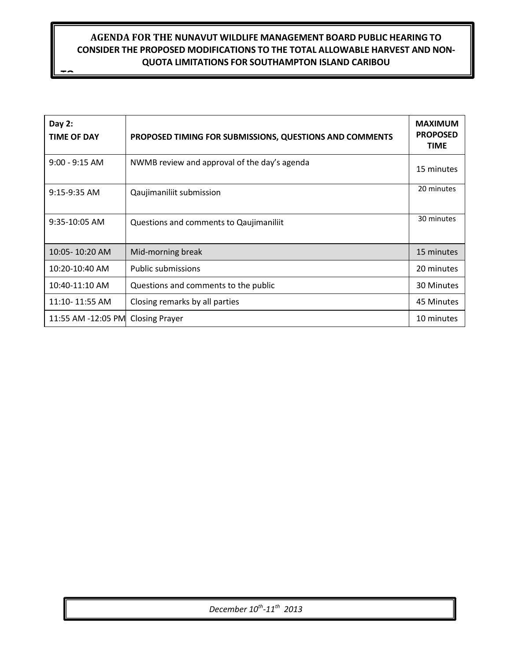# **AGENDA FOR THE NUNAVUT WILDLIFE MANAGEMENT BOARD PUBLIC HEARING TO CONSIDER THE PROPOSED MODIFICATIONS TO THE TOTAL ALLOWABLE HARVEST AND NON-QUOTA LIMITATIONS FOR SOUTHAMPTON ISLAND CARIBOU**

**TO**

| Day $2:$<br><b>TIME OF DAY</b>    | PROPOSED TIMING FOR SUBMISSIONS, QUESTIONS AND COMMENTS | <b>MAXIMUM</b><br><b>PROPOSED</b><br><b>TIME</b> |
|-----------------------------------|---------------------------------------------------------|--------------------------------------------------|
| $9:00 - 9:15$ AM                  | NWMB review and approval of the day's agenda            | 15 minutes                                       |
| $9:15-9:35$ AM                    | Qaujimaniliit submission                                | 20 minutes                                       |
| 9:35-10:05 AM                     | Questions and comments to Qaujimaniliit                 | 30 minutes                                       |
| 10:05-10:20 AM                    | Mid-morning break                                       | 15 minutes                                       |
| 10:20-10:40 AM                    | <b>Public submissions</b>                               | 20 minutes                                       |
| 10:40-11:10 AM                    | Questions and comments to the public                    | 30 Minutes                                       |
| $11:10 - 11:55$ AM                | Closing remarks by all parties                          | 45 Minutes                                       |
| 11:55 AM -12:05 PM Closing Prayer |                                                         | 10 minutes                                       |

*December 10th -11th 2013*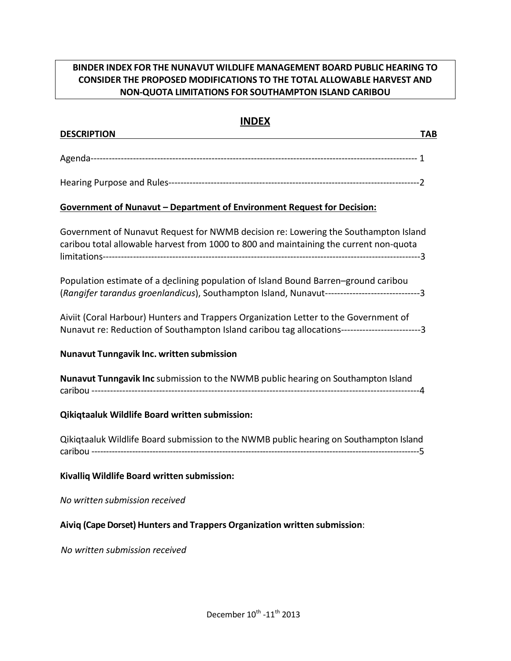# **BINDER INDEX FOR THE NUNAVUT WILDLIFE MANAGEMENT BOARD PUBLIC HEARING TO CONSIDER THE PROPOSED MODIFICATIONS TO THE TOTAL ALLOWABLE HARVEST AND NON-QUOTA LIMITATIONS FOR SOUTHAMPTON ISLAND CARIBOU**

# **INDEX**

| <b>DESCRIPTION</b>                                                                                                                                                                    | <b>TAB</b> |
|---------------------------------------------------------------------------------------------------------------------------------------------------------------------------------------|------------|
|                                                                                                                                                                                       |            |
|                                                                                                                                                                                       |            |
| Government of Nunavut - Department of Environment Request for Decision:                                                                                                               |            |
| Government of Nunavut Request for NWMB decision re: Lowering the Southampton Island<br>caribou total allowable harvest from 1000 to 800 and maintaining the current non-quota         |            |
| Population estimate of a declining population of Island Bound Barren-ground caribou<br>(Rangifer tarandus groenlandicus), Southampton Island, Nunavut-------------------------------3 |            |
| Aiviit (Coral Harbour) Hunters and Trappers Organization Letter to the Government of<br>Nunavut re: Reduction of Southampton Island caribou tag allocations------------------------3  |            |
| Nunavut Tunngavik Inc. written submission                                                                                                                                             |            |
| Nunavut Tunngavik Inc submission to the NWMB public hearing on Southampton Island                                                                                                     |            |
| Qikiqtaaluk Wildlife Board written submission:                                                                                                                                        |            |
| Qikiqtaaluk Wildlife Board submission to the NWMB public hearing on Southampton Island                                                                                                |            |
| Kivalliq Wildlife Board written submission:                                                                                                                                           |            |
| No written submission received                                                                                                                                                        |            |
| Aiviq (Cape Dorset) Hunters and Trappers Organization written submission:                                                                                                             |            |
| No written submission received                                                                                                                                                        |            |
|                                                                                                                                                                                       |            |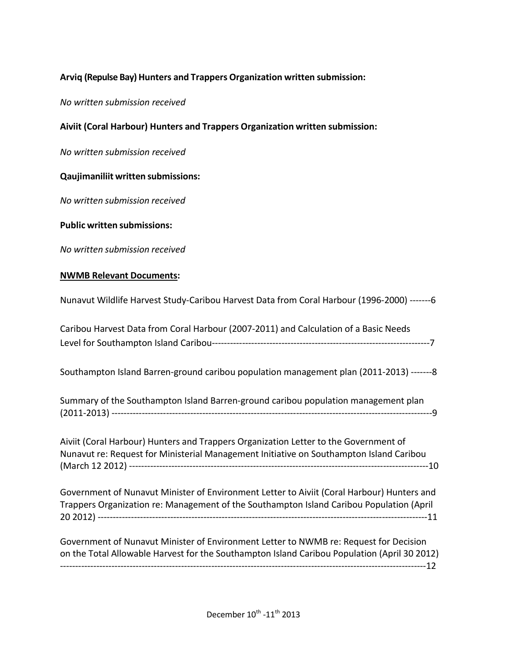## **Arviq (Repulse Bay) Hunters and Trappers Organization written submission:**

*No written submission received*

## **Aiviit (Coral Harbour) Hunters and Trappers Organization written submission:**

*No written submission received*

## **Qaujimaniliit written submissions:**

*No written submission received*

### **Public written submissions:**

*No written submission received*

#### **NWMB Relevant Documents:**

| Nunavut Wildlife Harvest Study-Caribou Harvest Data from Coral Harbour (1996-2000) -------6 |  |
|---------------------------------------------------------------------------------------------|--|
|---------------------------------------------------------------------------------------------|--|

| Caribou Harvest Data from Coral Harbour (2007-2011) and Calculation of a Basic Needs |  |
|--------------------------------------------------------------------------------------|--|
|                                                                                      |  |

Southampton Island Barren-ground caribou population management plan (2011-2013) -------8

| Summary of the Southampton Island Barren-ground caribou population management plan |  |
|------------------------------------------------------------------------------------|--|
|                                                                                    |  |

Aiviit (Coral Harbour) Hunters and Trappers Organization Letter to the Government of Nunavut re: Request for Ministerial Management Initiative on Southampton Island Caribou (March 12 2012) ---------------------------------------------------------------------------------------------------10

Government of Nunavut Minister of Environment Letter to Aiviit (Coral Harbour) Hunters and Trappers Organization re: Management of the Southampton Island Caribou Population (April 20 2012) -------------------------------------------------------------------------------------------------------------11

Government of Nunavut Minister of Environment Letter to NWMB re: Request for Decision on the Total Allowable Harvest for the Southampton Island Caribou Population (April 30 2012) -------------------------------------------------------------------------------------------------------------------------12